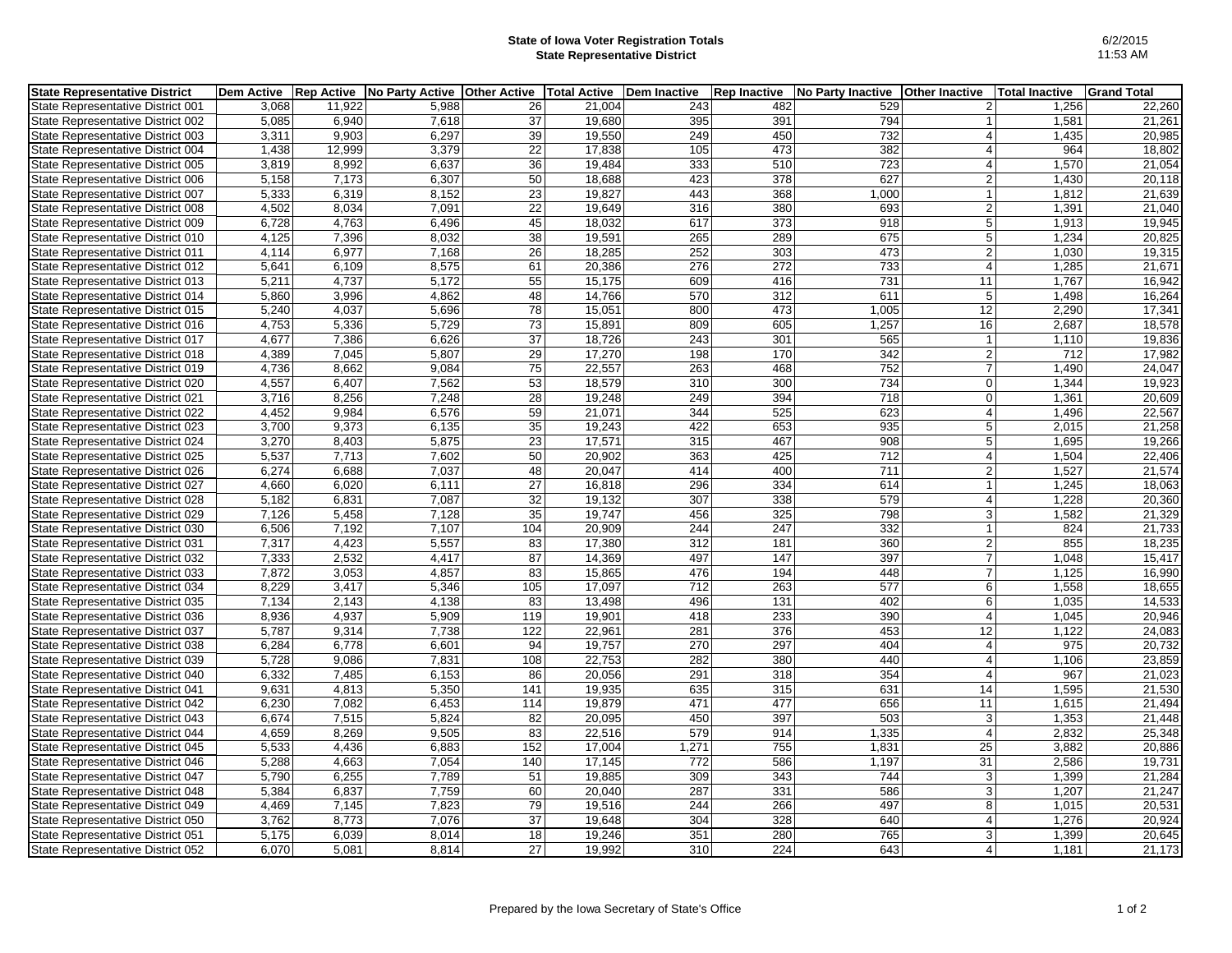## **State of Iowa Voter Registration Totals State Representative District**

| <b>State Representative District</b> | Dem Active Rep Active |        | No Party Active | <b>Other Active</b> | Total Active   Dem Inactive |       | <b>Rep Inactive</b> | <b>No Party Inactive</b> | <b>Other Inactive</b> | <b>Total Inactive</b> | <b>Grand Total</b> |
|--------------------------------------|-----------------------|--------|-----------------|---------------------|-----------------------------|-------|---------------------|--------------------------|-----------------------|-----------------------|--------------------|
| State Representative District 001    | 3.068                 | 11,922 | 5,988           | 26                  | 21.004                      | 243   | 482                 | 529                      | $\overline{2}$        | 1,256                 | 22,260             |
| State Representative District 002    | 5,085                 | 6,940  | 7,618           | $\overline{37}$     | 19,680                      | 395   | 391                 | 794                      | $\mathbf{1}$          | 1,581                 | 21,261             |
| State Representative District 003    | 3,311                 | 9,903  | 6,297           | 39                  | 19,550                      | 249   | 450                 | 732                      | $\overline{4}$        | 1,435                 | 20,985             |
| State Representative District 004    | 1,438                 | 12,999 | 3,379           | 22                  | 17,838                      | 105   | 473                 | 382                      | $\overline{4}$        | 964                   | 18,802             |
| State Representative District 005    | 3,819                 | 8,992  | 6,637           | 36                  | 19,484                      | 333   | 510                 | 723                      | $\overline{4}$        | 1,570                 | 21,054             |
| State Representative District 006    | 5,158                 | 7,173  | 6,307           | 50                  | 18,688                      | 423   | 378                 | 627                      | $\vert$ 2             | 1,430                 | 20,118             |
| State Representative District 007    | 5,333                 | 6,319  | 8,152           | 23                  | 19,827                      | 443   | 368                 | 1,000                    | $\mathbf{1}$          | 1,812                 | 21,639             |
| State Representative District 008    | 4,502                 | 8,034  | 7,091           | 22                  | 19,649                      | 316   | 380                 | 693                      | 2                     | 1,391                 | 21,040             |
| State Representative District 009    | 6,728                 | 4,763  | 6,496           | 45                  | 18,032                      | 617   | 373                 | 918                      | 5 <sup>5</sup>        | 1,913                 | 19,945             |
| State Representative District 010    | 4,125                 | 7,396  | 8,032           | $\overline{38}$     | 19,591                      | 265   | 289                 | 675                      | $\overline{5}$        | 1,234                 | 20,825             |
| State Representative District 011    | 4,114                 | 6,977  | 7,168           | 26                  | 18,285                      | 252   | 303                 | 473                      | $\sqrt{2}$            | 1,030                 | 19,315             |
| State Representative District 012    | 5,641                 | 6,109  | 8,575           | 61                  | 20,386                      | 276   | $\overline{272}$    | 733                      | $\vert$               | 1,285                 | 21,671             |
| State Representative District 013    | 5,211                 | 4,737  | 5,172           | 55                  | 15,175                      | 609   | 416                 | 731                      | 11                    | 1,767                 | 16,942             |
| State Representative District 014    | 5,860                 | 3,996  | 4,862           | 48                  | 14,766                      | 570   | 312                 | 611                      | 5 <sup>5</sup>        | 1,498                 | 16,264             |
| State Representative District 015    | 5,240                 | 4,037  | 5,696           | $\overline{78}$     | 15,051                      | 800   | 473                 | 1,005                    | 12                    | 2,290                 | 17,341             |
| State Representative District 016    | 4,753                 | 5,336  | 5,729           | $\overline{73}$     | 15,891                      | 809   | 605                 | 1,257                    | 16                    | 2,687                 | 18,578             |
| State Representative District 017    | 4,677                 | 7,386  | 6,626           | 37                  | 18,726                      | 243   | 301                 | 565                      | $\overline{1}$        | 1,110                 | 19,836             |
| State Representative District 018    | 4,389                 | 7,045  | 5,807           | 29                  | 17,270                      | 198   | 170                 | 342                      | $\overline{2}$        | 712                   | 17,982             |
| State Representative District 019    | 4,736                 | 8,662  | 9,084           | 75                  | 22,557                      | 263   | 468                 | 752                      | $\overline{7}$        | 1,490                 | 24,047             |
| State Representative District 020    | 4,557                 | 6,407  | 7,562           | 53                  | 18,579                      | 310   | 300                 | 734                      | $\overline{0}$        | 1,344                 | 19,923             |
| State Representative District 021    | 3,716                 | 8,256  | 7,248           | 28                  | 19,248                      | 249   | 394                 | 718                      | $\overline{0}$        | 1,361                 | 20,609             |
| State Representative District 022    | 4,452                 | 9,984  | 6,576           | 59                  | 21,071                      | 344   | 525                 | 623                      | $\overline{4}$        | 1,496                 | 22,567             |
| State Representative District 023    | 3,700                 | 9,373  | 6,135           | 35                  | 19,243                      | 422   | 653                 | 935                      | 5 <sup>5</sup>        | 2,015                 | 21,258             |
| State Representative District 024    | 3,270                 | 8,403  | 5,875           | 23                  | 17,571                      | 315   | 467                 | 908                      | 5 <sup>5</sup>        | 1,695                 | 19,266             |
| State Representative District 025    | 5,537                 | 7,713  | 7,602           | 50                  | 20,902                      | 363   | 425                 | 712                      | $\overline{4}$        | 1,504                 | 22,406             |
| State Representative District 026    | 6,274                 | 6,688  | 7,037           | 48                  | 20,047                      | 414   | 400                 | 711                      | $\overline{2}$        | 1,527                 | 21,574             |
| State Representative District 027    | 4,660                 | 6,020  | 6,111           | 27                  | 16,818                      | 296   | 334                 | 614                      | $\mathbf{1}$          | 1,245                 | 18,063             |
| State Representative District 028    | 5,182                 | 6,831  | 7,087           | 32                  | 19,132                      | 307   | 338                 | 579                      | $\overline{4}$        | 1,228                 | 20,360             |
| State Representative District 029    | 7,126                 | 5,458  | 7,128           | 35                  | 19,747                      | 456   | 325                 | 798                      | $\overline{3}$        | 1,582                 | 21,329             |
| State Representative District 030    | 6,506                 | 7,192  | 7,107           | 104                 | 20,909                      | 244   | 247                 | 332                      |                       | 824                   | 21,733             |
| State Representative District 031    | 7,317                 | 4,423  | 5,557           | 83                  | 17,380                      | 312   | 181                 | 360                      | $\overline{2}$        | 855                   | 18,235             |
| State Representative District 032    | 7,333                 | 2,532  | 4,417           | 87                  | 14,369                      | 497   | 147                 | 397                      | $\overline{7}$        | 1,048                 | 15,417             |
| State Representative District 033    | 7,872                 | 3,053  | 4,857           | 83                  | 15,865                      | 476   | 194                 | 448                      | $\overline{7}$        | 1,125                 | 16,990             |
| State Representative District 034    | 8,229                 | 3,417  | 5,346           | 105                 | 17,097                      | 712   | 263                 | 577                      | 6                     | 1,558                 | 18,655             |
| State Representative District 035    | 7,134                 | 2,143  | 4,138           | 83                  | 13,498                      | 496   | 131                 | 402                      | 6                     | 1,035                 | 14,533             |
| State Representative District 036    | 8,936                 | 4,937  | 5,909           | 119                 | 19,901                      | 418   | 233                 | 390                      | $\overline{4}$        | 1,045                 | 20,946             |
| State Representative District 037    | 5,787                 | 9,314  | 7,738           | 122                 | 22,961                      | 281   | 376                 | 453                      | 12                    | 1,122                 | 24,083             |
| State Representative District 038    | 6,284                 | 6,778  | 6,601           | 94                  | 19,757                      | 270   | 297                 | 404                      | $\overline{4}$        | 975                   | 20,732             |
| State Representative District 039    | 5,728                 | 9,086  | 7,831           | 108                 | 22,753                      | 282   | 380                 | 440                      | $\overline{4}$        | 1,106                 | 23,859             |
| State Representative District 040    | 6,332                 | 7,485  | 6,153           | 86                  | 20,056                      | 291   | 318                 | 354                      | $\overline{4}$        | 967                   | 21,023             |
| State Representative District 041    | 9,631                 | 4,813  | 5,350           | 141                 | 19,935                      | 635   | 315                 | 631                      | 14                    | 1,595                 | 21,530             |
| State Representative District 042    | 6,230                 | 7,082  | 6,453           | 114                 | 19,879                      | 471   | 477                 | 656                      | 11                    | 1,615                 | 21,494             |
| State Representative District 043    | 6,674                 | 7,515  | 5,824           | 82                  | 20,095                      | 450   | 397                 | 503                      | $\lvert 3 \rvert$     | 1,353                 | 21,448             |
| State Representative District 044    | 4,659                 | 8,269  | 9,505           | 83                  | 22,516                      | 579   | 914                 | 1,335                    | $\overline{4}$        | 2,832                 | 25,348             |
| State Representative District 045    | 5,533                 | 4,436  | 6,883           | 152                 | 17,004                      | 1,271 | 755                 | 1,831                    | 25                    | 3,882                 | 20,886             |
| State Representative District 046    | 5,288                 | 4,663  | 7,054           | 140                 | 17,145                      | 772   | 586                 | 1,197                    | $\overline{31}$       | 2,586                 | 19,731             |
| State Representative District 047    | 5,790                 | 6,255  | 7.789           | 51                  | 19.885                      | 309   | 343                 | 744                      | $\lvert 3 \rvert$     | 1,399                 | 21,284             |
| State Representative District 048    | 5,384                 | 6,837  | 7,759           | 60                  | 20,040                      | 287   | 331                 | 586                      | $\lvert 3 \rvert$     | 1,207                 | 21,247             |
| State Representative District 049    | 4,469                 | 7,145  | 7,823           | 79                  | 19,516                      | 244   | 266                 | 497                      | 8                     | 1,015                 | 20,531             |
| State Representative District 050    | 3,762                 | 8,773  | 7,076           | $\overline{37}$     | 19,648                      | 304   | 328                 | 640                      | $\overline{4}$        | 1,276                 | 20,924             |
| State Representative District 051    | 5,175                 | 6,039  | 8,014           | 18                  | 19,246                      | 351   | 280                 | 765                      | $\overline{3}$        | 1,399                 | 20,645             |
| State Representative District 052    | 6,070                 | 5,081  | 8,814           | 27                  | 19,992                      | 310   | 224                 | 643                      | $\vert$               | 1,181                 | 21,173             |